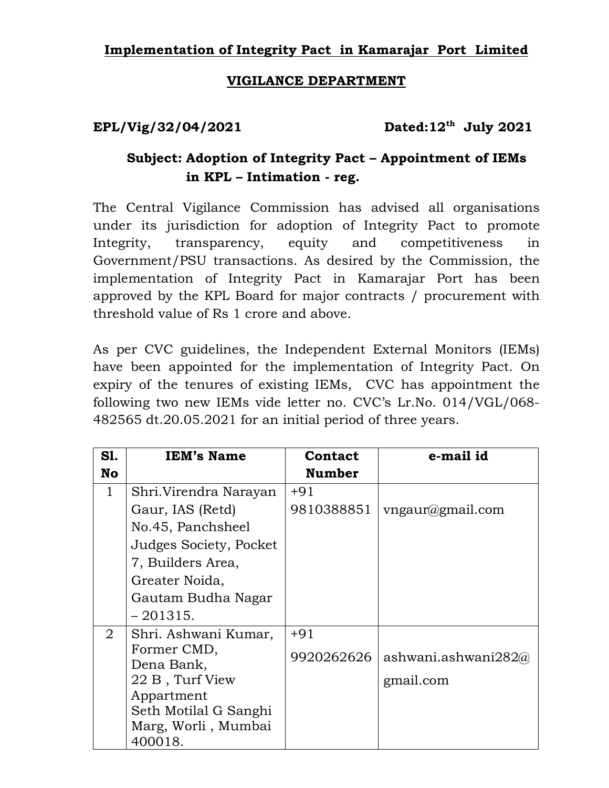## **Implementation of Integrity Pact in Kamarajar Port Limited**

## **VIGILANCE DEPARTMENT**

**EPL/Vig/32/04/2021 Dated:12th July 2021** 

## **Subject: Adoption of Integrity Pact – Appointment of IEMs in KPL – Intimation - reg.**

The Central Vigilance Commission has advised all organisations under its jurisdiction for adoption of Integrity Pact to promote Integrity, transparency, equity and competitiveness in Government/PSU transactions. As desired by the Commission, the implementation of Integrity Pact in Kamarajar Port has been approved by the KPL Board for major contracts / procurement with threshold value of Rs 1 crore and above.

As per CVC guidelines, the Independent External Monitors (IEMs) have been appointed for the implementation of Integrity Pact. On expiry of the tenures of existing IEMs, CVC has appointment the following two new IEMs vide letter no. CVC's Lr.No. 014/VGL/068- 482565 dt.20.05.2021 for an initial period of three years.

| S1.            | <b>IEM's Name</b>      | <b>Contact</b> | e-mail id           |
|----------------|------------------------|----------------|---------------------|
| <b>No</b>      |                        | <b>Number</b>  |                     |
| $\mathbf{1}$   | Shri.Virendra Narayan  | $+91$          |                     |
|                | Gaur, IAS (Retd)       | 9810388851     | vngaur@gmail.com    |
|                | No.45, Panchsheel      |                |                     |
|                | Judges Society, Pocket |                |                     |
|                | 7, Builders Area,      |                |                     |
|                | Greater Noida,         |                |                     |
|                | Gautam Budha Nagar     |                |                     |
|                | $-201315.$             |                |                     |
| $\overline{2}$ | Shri. Ashwani Kumar,   | $+91$          |                     |
|                | Former CMD,            | 9920262626     | ashwani.ashwani282@ |
|                | Dena Bank,             |                |                     |
|                | 22 B, Turf View        |                | gmail.com           |
|                | Appartment             |                |                     |
|                | Seth Motilal G Sanghi  |                |                     |
|                | Marg, Worli, Mumbai    |                |                     |
|                | 400018.                |                |                     |